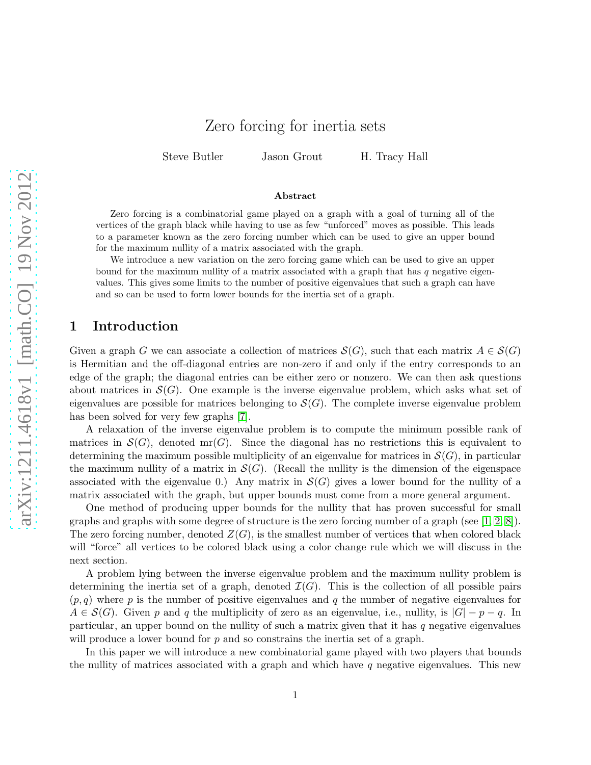## Zero forcing for inertia sets

Steve Butler Jason Grout H. Tracy Hall

#### Abstract

Zero forcing is a combinatorial game played on a graph with a goal of turning all of the vertices of the graph black while having to use as few "unforced" moves as possible. This leads to a parameter known as the zero forcing number which can be used to give an upper bound for the maximum nullity of a matrix associated with the graph.

We introduce a new variation on the zero forcing game which can be used to give an upper bound for the maximum nullity of a matrix associated with a graph that has  $q$  negative eigenvalues. This gives some limits to the number of positive eigenvalues that such a graph can have and so can be used to form lower bounds for the inertia set of a graph.

#### 1 Introduction

Given a graph G we can associate a collection of matrices  $S(G)$ , such that each matrix  $A \in S(G)$ is Hermitian and the off-diagonal entries are non-zero if and only if the entry corresponds to an edge of the graph; the diagonal entries can be either zero or nonzero. We can then ask questions about matrices in  $\mathcal{S}(G)$ . One example is the inverse eigenvalue problem, which asks what set of eigenvalues are possible for matrices belonging to  $\mathcal{S}(G)$ . The complete inverse eigenvalue problem has been solved for very few graphs [\[7\]](#page-15-0).

A relaxation of the inverse eigenvalue problem is to compute the minimum possible rank of matrices in  $\mathcal{S}(G)$ , denoted mr(G). Since the diagonal has no restrictions this is equivalent to determining the maximum possible multiplicity of an eigenvalue for matrices in  $\mathcal{S}(G)$ , in particular the maximum nullity of a matrix in  $\mathcal{S}(G)$ . (Recall the nullity is the dimension of the eigenspace associated with the eigenvalue 0.) Any matrix in  $\mathcal{S}(G)$  gives a lower bound for the nullity of a matrix associated with the graph, but upper bounds must come from a more general argument.

One method of producing upper bounds for the nullity that has proven successful for small graphs and graphs with some degree of structure is the zero forcing number of a graph (see [\[1,](#page-15-1) [2,](#page-15-2) [8\]](#page-15-3)). The zero forcing number, denoted  $Z(G)$ , is the smallest number of vertices that when colored black will "force" all vertices to be colored black using a color change rule which we will discuss in the next section.

A problem lying between the inverse eigenvalue problem and the maximum nullity problem is determining the inertia set of a graph, denoted  $\mathcal{I}(G)$ . This is the collection of all possible pairs  $(p, q)$  where p is the number of positive eigenvalues and q the number of negative eigenvalues for  $A \in \mathcal{S}(G)$ . Given p and q the multiplicity of zero as an eigenvalue, i.e., nullity, is  $|G| - p - q$ . In particular, an upper bound on the nullity of such a matrix given that it has  $q$  negative eigenvalues will produce a lower bound for  $p$  and so constrains the inertia set of a graph.

In this paper we will introduce a new combinatorial game played with two players that bounds the nullity of matrices associated with a graph and which have q negative eigenvalues. This new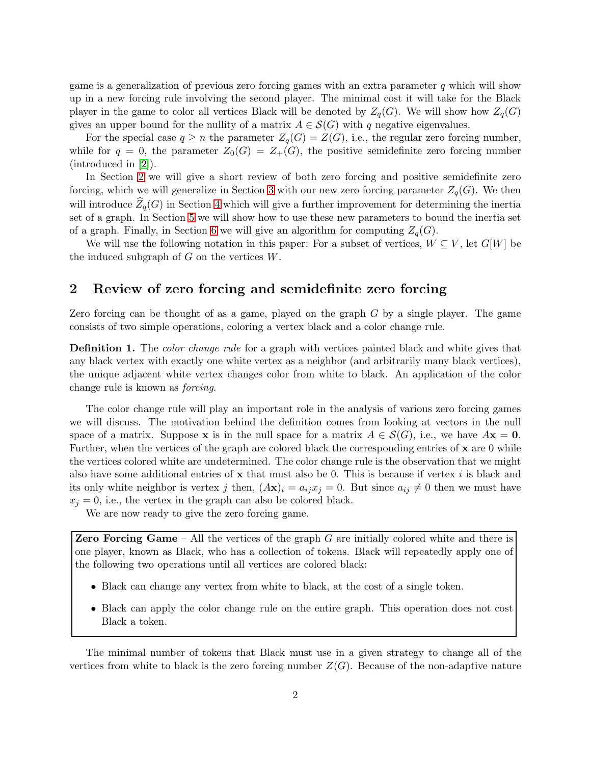game is a generalization of previous zero forcing games with an extra parameter  $q$  which will show up in a new forcing rule involving the second player. The minimal cost it will take for the Black player in the game to color all vertices Black will be denoted by  $Z_q(G)$ . We will show how  $Z_q(G)$ gives an upper bound for the nullity of a matrix  $A \in \mathcal{S}(G)$  with q negative eigenvalues.

For the special case  $q \geq n$  the parameter  $Z_q(G) = Z(G)$ , i.e., the regular zero forcing number, while for  $q = 0$ , the parameter  $Z_0(G) = Z_+(G)$ , the positive semidefinite zero forcing number (introduced in [\[2\]](#page-15-2)).

In Section [2](#page-1-0) we will give a short review of both zero forcing and positive semidefinite zero forcing, which we will generalize in Section [3](#page-3-0) with our new zero forcing parameter  $Z_q(G)$ . We then will introduce  $Z_q(G)$  in Section [4](#page-7-0) which will give a further improvement for determining the inertia set of a graph. In Section [5](#page-8-0) we will show how to use these new parameters to bound the inertia set of a graph. Finally, in Section [6](#page-12-0) we will give an algorithm for computing  $Z_q(G)$ .

We will use the following notation in this paper: For a subset of vertices,  $W \subseteq V$ , let  $G[W]$  be the induced subgraph of  $G$  on the vertices  $W$ .

### <span id="page-1-0"></span>2 Review of zero forcing and semidefinite zero forcing

Zero forcing can be thought of as a game, played on the graph G by a single player. The game consists of two simple operations, coloring a vertex black and a color change rule.

**Definition 1.** The *color change rule* for a graph with vertices painted black and white gives that any black vertex with exactly one white vertex as a neighbor (and arbitrarily many black vertices), the unique adjacent white vertex changes color from white to black. An application of the color change rule is known as forcing.

The color change rule will play an important role in the analysis of various zero forcing games we will discuss. The motivation behind the definition comes from looking at vectors in the null space of a matrix. Suppose x is in the null space for a matrix  $A \in \mathcal{S}(G)$ , i.e., we have  $A\mathbf{x} = \mathbf{0}$ . Further, when the vertices of the graph are colored black the corresponding entries of  $x$  are 0 while the vertices colored white are undetermined. The color change rule is the observation that we might also have some additional entries of  $x$  that must also be 0. This is because if vertex i is black and its only white neighbor is vertex j then,  $(Ax)_i = a_{ij}x_j = 0$ . But since  $a_{ij} \neq 0$  then we must have  $x_i = 0$ , i.e., the vertex in the graph can also be colored black.

We are now ready to give the zero forcing game.

**Zero Forcing Game** – All the vertices of the graph  $G$  are initially colored white and there is one player, known as Black, who has a collection of tokens. Black will repeatedly apply one of the following two operations until all vertices are colored black:

- Black can change any vertex from white to black, at the cost of a single token.
- Black can apply the color change rule on the entire graph. This operation does not cost Black a token.

The minimal number of tokens that Black must use in a given strategy to change all of the vertices from white to black is the zero forcing number  $Z(G)$ . Because of the non-adaptive nature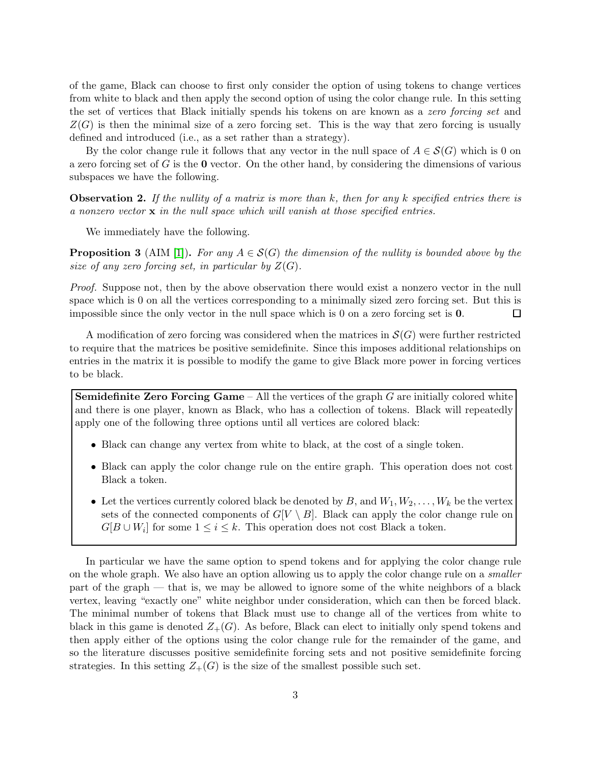of the game, Black can choose to first only consider the option of using tokens to change vertices from white to black and then apply the second option of using the color change rule. In this setting the set of vertices that Black initially spends his tokens on are known as a zero forcing set and  $Z(G)$  is then the minimal size of a zero forcing set. This is the way that zero forcing is usually defined and introduced (i.e., as a set rather than a strategy).

By the color change rule it follows that any vector in the null space of  $A \in \mathcal{S}(G)$  which is 0 on a zero forcing set of  $G$  is the  $\bf{0}$  vector. On the other hand, by considering the dimensions of various subspaces we have the following.

**Observation 2.** If the nullity of a matrix is more than k, then for any k specified entries there is a nonzero vector  $x$  in the null space which will vanish at those specified entries.

We immediately have the following.

<span id="page-2-0"></span>**Proposition 3** (AIM [\[1\]](#page-15-1)). For any  $A \in \mathcal{S}(G)$  the dimension of the nullity is bounded above by the size of any zero forcing set, in particular by  $Z(G)$ .

Proof. Suppose not, then by the above observation there would exist a nonzero vector in the null space which is 0 on all the vertices corresponding to a minimally sized zero forcing set. But this is impossible since the only vector in the null space which is 0 on a zero forcing set is 0.  $\Box$ 

A modification of zero forcing was considered when the matrices in  $\mathcal{S}(G)$  were further restricted to require that the matrices be positive semidefinite. Since this imposes additional relationships on entries in the matrix it is possible to modify the game to give Black more power in forcing vertices to be black.

**Semidefinite Zero Forcing Game** – All the vertices of the graph  $G$  are initially colored white and there is one player, known as Black, who has a collection of tokens. Black will repeatedly apply one of the following three options until all vertices are colored black:

- Black can change any vertex from white to black, at the cost of a single token.
- Black can apply the color change rule on the entire graph. This operation does not cost Black a token.
- Let the vertices currently colored black be denoted by B, and  $W_1, W_2, \ldots, W_k$  be the vertex sets of the connected components of  $G[V \setminus B]$ . Black can apply the color change rule on  $G[B \cup W_i]$  for some  $1 \leq i \leq k$ . This operation does not cost Black a token.

In particular we have the same option to spend tokens and for applying the color change rule on the whole graph. We also have an option allowing us to apply the color change rule on a smaller part of the graph — that is, we may be allowed to ignore some of the white neighbors of a black vertex, leaving "exactly one" white neighbor under consideration, which can then be forced black. The minimal number of tokens that Black must use to change all of the vertices from white to black in this game is denoted  $Z_{+}(G)$ . As before, Black can elect to initially only spend tokens and then apply either of the options using the color change rule for the remainder of the game, and so the literature discusses positive semidefinite forcing sets and not positive semidefinite forcing strategies. In this setting  $Z_{+}(G)$  is the size of the smallest possible such set.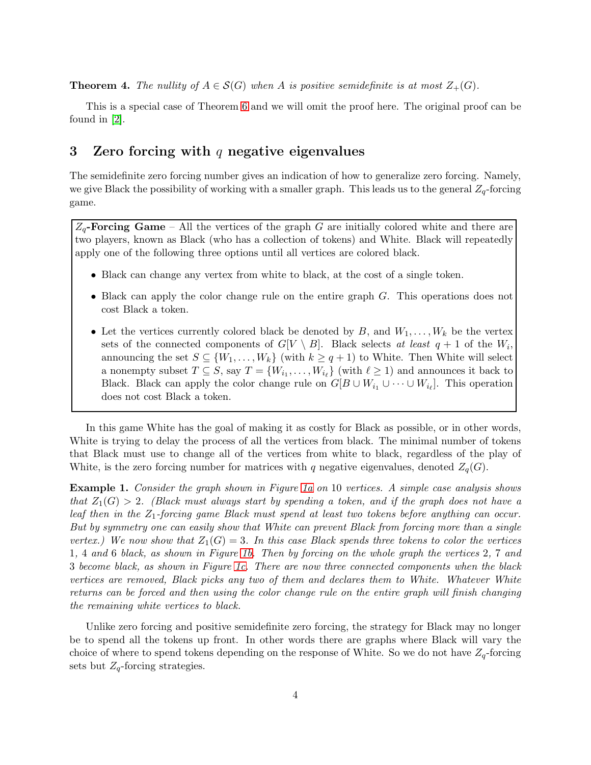<span id="page-3-1"></span>**Theorem 4.** The nullity of  $A \in \mathcal{S}(G)$  when A is positive semidefinite is at most  $Z_{+}(G)$ .

This is a special case of Theorem [6](#page-5-0) and we will omit the proof here. The original proof can be found in [\[2\]](#page-15-2).

### <span id="page-3-0"></span>3 Zero forcing with q negative eigenvalues

The semidefinite zero forcing number gives an indication of how to generalize zero forcing. Namely, we give Black the possibility of working with a smaller graph. This leads us to the general  $Z_q$ -forcing game.

 $Z_q$ -**Forcing Game** – All the vertices of the graph G are initially colored white and there are two players, known as Black (who has a collection of tokens) and White. Black will repeatedly apply one of the following three options until all vertices are colored black.

- Black can change any vertex from white to black, at the cost of a single token.
- Black can apply the color change rule on the entire graph G. This operations does not cost Black a token.
- Let the vertices currently colored black be denoted by  $B$ , and  $W_1, \ldots, W_k$  be the vertex sets of the connected components of  $G[V \setminus B]$ . Black selects at least  $q + 1$  of the  $W_i$ , announcing the set  $S \subseteq \{W_1, \ldots, W_k\}$  (with  $k \ge q+1$ ) to White. Then White will select a nonempty subset  $T \subseteq S$ , say  $T = \{W_{i_1}, \ldots, W_{i_\ell}\}$  (with  $\ell \geq 1$ ) and announces it back to Black. Black can apply the color change rule on  $G[B \cup W_{i_1} \cup \cdots \cup W_{i_\ell}].$  This operation does not cost Black a token.

In this game White has the goal of making it as costly for Black as possible, or in other words, White is trying to delay the process of all the vertices from black. The minimal number of tokens that Black must use to change all of the vertices from white to black, regardless of the play of White, is the zero forcing number for matrices with q negative eigenvalues, denoted  $Z_q(G)$ .

Example 1. Consider the graph shown in Figure [1a](#page-4-0) on 10 vertices. A simple case analysis shows that  $Z_1(G) > 2$ . (Black must always start by spending a token, and if the graph does not have a leaf then in the  $Z_1$ -forcing game Black must spend at least two tokens before anything can occur. But by symmetry one can easily show that White can prevent Black from forcing more than a single vertex.) We now show that  $Z_1(G) = 3$ . In this case Black spends three tokens to color the vertices 1, 4 and 6 black, as shown in Figure [1b.](#page-4-1) Then by forcing on the whole graph the vertices 2, 7 and 3 become black, as shown in Figure [1c.](#page-4-2) There are now three connected components when the black vertices are removed, Black picks any two of them and declares them to White. Whatever White returns can be forced and then using the color change rule on the entire graph will finish changing the remaining white vertices to black.

Unlike zero forcing and positive semidefinite zero forcing, the strategy for Black may no longer be to spend all the tokens up front. In other words there are graphs where Black will vary the choice of where to spend tokens depending on the response of White. So we do not have  $Z_q$ -forcing sets but  $Z_q$ -forcing strategies.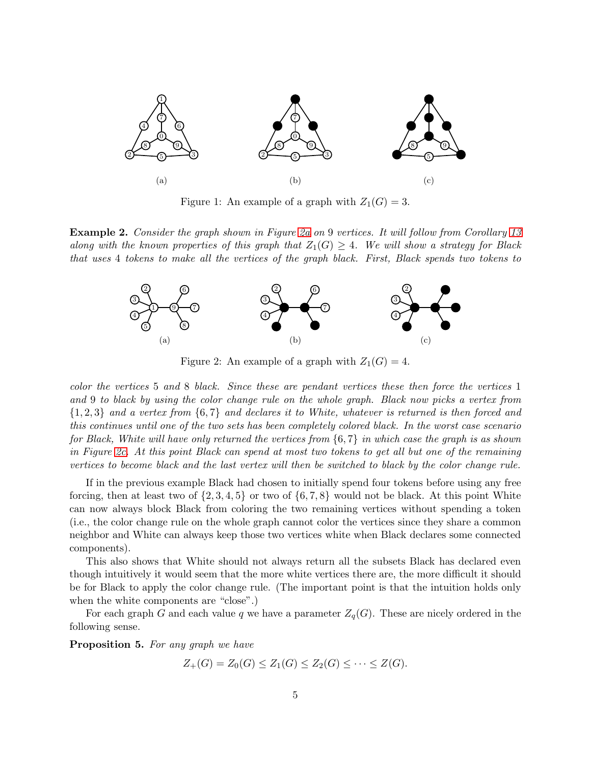<span id="page-4-0"></span>

<span id="page-4-2"></span><span id="page-4-1"></span>Figure 1: An example of a graph with  $Z_1(G) = 3$ .

<span id="page-4-3"></span>Example 2. Consider the graph shown in Figure [2a](#page-4-3) on 9 vertices. It will follow from Corollary [13](#page-9-0) along with the known properties of this graph that  $Z_1(G) \geq 4$ . We will show a strategy for Black that uses 4 tokens to make all the vertices of the graph black. First, Black spends two tokens to



<span id="page-4-4"></span>Figure 2: An example of a graph with  $Z_1(G) = 4$ .

color the vertices 5 and 8 black. Since these are pendant vertices these then force the vertices 1 and 9 to black by using the color change rule on the whole graph. Black now picks a vertex from {1, 2, 3} and a vertex from {6, 7} and declares it to White, whatever is returned is then forced and this continues until one of the two sets has been completely colored black. In the worst case scenario for Black, White will have only returned the vertices from  $\{6, 7\}$  in which case the graph is as shown in Figure [2c.](#page-4-4) At this point Black can spend at most two tokens to get all but one of the remaining vertices to become black and the last vertex will then be switched to black by the color change rule.

If in the previous example Black had chosen to initially spend four tokens before using any free forcing, then at least two of  $\{2,3,4,5\}$  or two of  $\{6,7,8\}$  would not be black. At this point White can now always block Black from coloring the two remaining vertices without spending a token (i.e., the color change rule on the whole graph cannot color the vertices since they share a common neighbor and White can always keep those two vertices white when Black declares some connected components).

This also shows that White should not always return all the subsets Black has declared even though intuitively it would seem that the more white vertices there are, the more difficult it should be for Black to apply the color change rule. (The important point is that the intuition holds only when the white components are "close".)

For each graph G and each value q we have a parameter  $Z_q(G)$ . These are nicely ordered in the following sense.

Proposition 5. For any graph we have

$$
Z_{+}(G) = Z_{0}(G) \le Z_{1}(G) \le Z_{2}(G) \le \cdots \le Z(G).
$$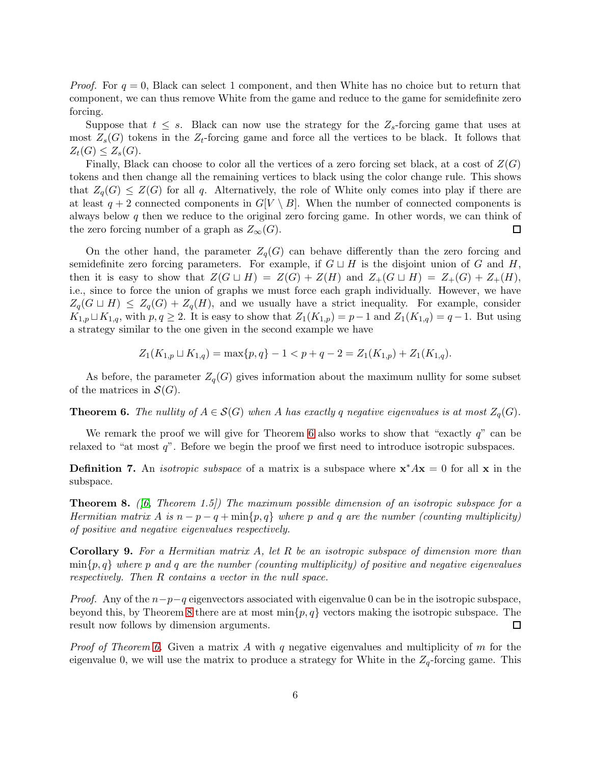*Proof.* For  $q = 0$ , Black can select 1 component, and then White has no choice but to return that component, we can thus remove White from the game and reduce to the game for semidefinite zero forcing.

Suppose that  $t \leq s$ . Black can now use the strategy for the  $Z_s$ -forcing game that uses at most  $Z_s(G)$  tokens in the  $Z_t$ -forcing game and force all the vertices to be black. It follows that  $Z_t(G) \leq Z_s(G)$ .

Finally, Black can choose to color all the vertices of a zero forcing set black, at a cost of  $Z(G)$ tokens and then change all the remaining vertices to black using the color change rule. This shows that  $Z_q(G) \leq Z(G)$  for all q. Alternatively, the role of White only comes into play if there are at least  $q + 2$  connected components in  $G[V \setminus B]$ . When the number of connected components is always below  $q$  then we reduce to the original zero forcing game. In other words, we can think of the zero forcing number of a graph as  $Z_{\infty}(G)$ .  $\Box$ 

On the other hand, the parameter  $Z_q(G)$  can behave differently than the zero forcing and semidefinite zero forcing parameters. For example, if  $G \sqcup H$  is the disjoint union of G and H, then it is easy to show that  $Z(G \sqcup H) = Z(G) + Z(H)$  and  $Z_+(G \sqcup H) = Z_+(G) + Z_+(H)$ , i.e., since to force the union of graphs we must force each graph individually. However, we have  $Z_q(G \sqcup H) \leq Z_q(G) + Z_q(H)$ , and we usually have a strict inequality. For example, consider  $K_{1,p} \sqcup K_{1,q}$ , with  $p, q \geq 2$ . It is easy to show that  $Z_1(K_{1,p}) = p-1$  and  $Z_1(K_{1,q}) = q-1$ . But using a strategy similar to the one given in the second example we have

$$
Z_1(K_{1,p} \sqcup K_{1,q}) = \max\{p,q\} - 1 < p + q - 2 = Z_1(K_{1,p}) + Z_1(K_{1,q}).
$$

As before, the parameter  $Z_q(G)$  gives information about the maximum nullity for some subset of the matrices in  $\mathcal{S}(G)$ .

<span id="page-5-0"></span>**Theorem 6.** The nullity of  $A \in \mathcal{S}(G)$  when A has exactly q negative eigenvalues is at most  $Z_q(G)$ .

We remark the proof we will give for Theorem [6](#page-5-0) also works to show that "exactly  $q$ " can be relaxed to "at most  $q$ ". Before we begin the proof we first need to introduce isotropic subspaces.

**Definition 7.** An *isotropic subspace* of a matrix is a subspace where  $x^*Ax = 0$  for all x in the subspace.

<span id="page-5-1"></span>**Theorem 8.** (6, Theorem 1.5)) The maximum possible dimension of an isotropic subspace for a Hermitian matrix A is  $n - p - q + \min\{p, q\}$  where p and q are the number (counting multiplicity) of positive and negative eigenvalues respectively.

<span id="page-5-2"></span>Corollary 9. For a Hermitian matrix A, let R be an isotropic subspace of dimension more than  $\min\{p,q\}$  where p and q are the number (counting multiplicity) of positive and negative eigenvalues respectively. Then R contains a vector in the null space.

*Proof.* Any of the  $n-p-q$  eigenvectors associated with eigenvalue 0 can be in the isotropic subspace, beyond this, by Theorem [8](#page-5-1) there are at most  $\min\{p, q\}$  vectors making the isotropic subspace. The result now follows by dimension arguments. result now follows by dimension arguments.

*Proof of Theorem [6.](#page-5-0)* Given a matrix A with q negative eigenvalues and multiplicity of m for the eigenvalue 0, we will use the matrix to produce a strategy for White in the  $Z_q$ -forcing game. This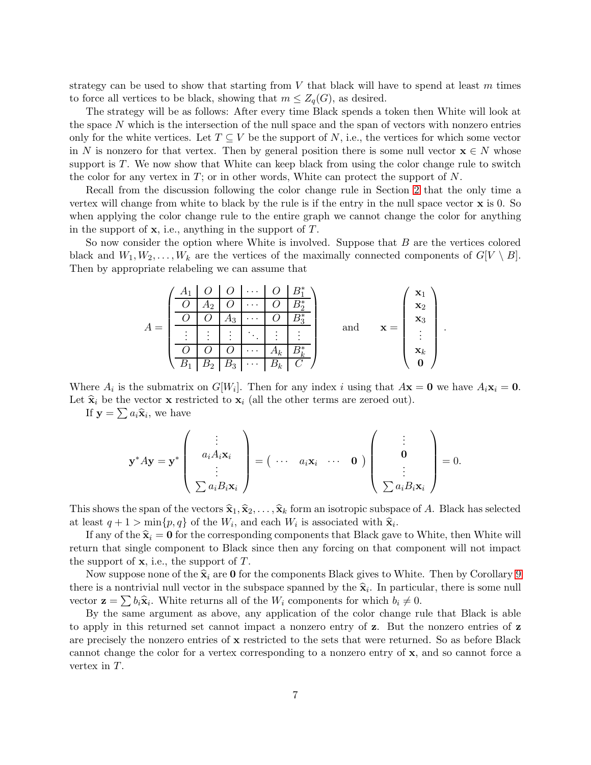strategy can be used to show that starting from  $V$  that black will have to spend at least  $m$  times to force all vertices to be black, showing that  $m \leq Z_q(G)$ , as desired.

The strategy will be as follows: After every time Black spends a token then White will look at the space N which is the intersection of the null space and the span of vectors with nonzero entries only for the white vertices. Let  $T \subseteq V$  be the support of N, i.e., the vertices for which some vector in N is nonzero for that vertex. Then by general position there is some null vector  $\mathbf{x} \in N$  whose support is  $T$ . We now show that White can keep black from using the color change rule to switch the color for any vertex in  $T$ ; or in other words, White can protect the support of  $N$ .

Recall from the discussion following the color change rule in Section [2](#page-1-0) that the only time a vertex will change from white to black by the rule is if the entry in the null space vector x is 0. So when applying the color change rule to the entire graph we cannot change the color for anything in the support of  $x$ , i.e., anything in the support of  $T$ .

So now consider the option where White is involved. Suppose that  $B$  are the vertices colored black and  $W_1, W_2, \ldots, W_k$  are the vertices of the maximally connected components of  $G[V \setminus B]$ . Then by appropriate relabeling we can assume that

| $\bullet$<br>$\bullet$ | A2<br>$\bullet$<br>$\bullet$<br>$\bullet$ | ാ<br>$\bullet$<br>$\bullet$<br>$\cdot$ | $\cdots$<br>$\cdots$<br>$\cdots$<br>٠<br>$\bullet$<br>$\cdots$ | $\bullet$<br>٠<br>$\bullet$<br>$\Delta k$ | $\bullet$ | and | $=$ | $\mathbf{X}_1$<br>$\mathbf{x}_2$<br>$\mathbf{x}_3$<br>$\bullet$<br>$\bullet$<br>$\bullet$<br>$\mathbf{x}_k$ |  |
|------------------------|-------------------------------------------|----------------------------------------|----------------------------------------------------------------|-------------------------------------------|-----------|-----|-----|-------------------------------------------------------------------------------------------------------------|--|
|                        |                                           | $_{\rm D3}$                            | $\cdots$                                                       | $\boldsymbol{k}$                          |           |     |     |                                                                                                             |  |

Where  $A_i$  is the submatrix on  $G[W_i]$ . Then for any index i using that  $A\mathbf{x} = \mathbf{0}$  we have  $A_i\mathbf{x}_i = \mathbf{0}$ . Let  $\hat{\mathbf{x}}_i$  be the vector **x** restricted to  $\mathbf{x}_i$  (all the other terms are zeroed out).

If  $\mathbf{y} = \sum a_i \hat{\mathbf{x}}_i$ , we have

$$
\mathbf{y}^* A \mathbf{y} = \mathbf{y}^* \begin{pmatrix} \vdots \\ a_i A_i \mathbf{x}_i \\ \vdots \\ \sum a_i B_i \mathbf{x}_i \end{pmatrix} = (\begin{array}{ccc} \cdots & a_i \mathbf{x}_i & \cdots & \mathbf{0} \end{array}) \begin{pmatrix} \vdots \\ \mathbf{0} \\ \vdots \\ \sum a_i B_i \mathbf{x}_i \end{pmatrix} = 0.
$$

This shows the span of the vectors  $\hat{\mathbf{x}}_1, \hat{\mathbf{x}}_2, \ldots, \hat{\mathbf{x}}_k$  form an isotropic subspace of A. Black has selected at least  $q + 1 > \min\{p, q\}$  of the  $W_i$ , and each  $W_i$  is associated with  $\hat{\mathbf{x}}_i$ .

If any of the  $\hat{\mathbf{x}}_i = \mathbf{0}$  for the corresponding components that Black gave to White, then White will return that single component to Black since then any forcing on that component will not impact the support of  $x$ , i.e., the support of  $T$ .

Now suppose none of the  $\hat{\mathbf{x}}_i$  are 0 for the components Black gives to White. Then by Corollary [9](#page-5-2) there is a nontrivial null vector in the subspace spanned by the  $\hat{\mathbf{x}}_i$ . In particular, there is some null vector  $\mathbf{z} = \sum b_i \hat{\mathbf{x}}_i$ . White returns all of the  $W_i$  components for which  $b_i \neq 0$ .

By the same argument as above, any application of the color change rule that Black is able to apply in this returned set cannot impact a nonzero entry of z. But the nonzero entries of z are precisely the nonzero entries of x restricted to the sets that were returned. So as before Black cannot change the color for a vertex corresponding to a nonzero entry of x, and so cannot force a vertex in T.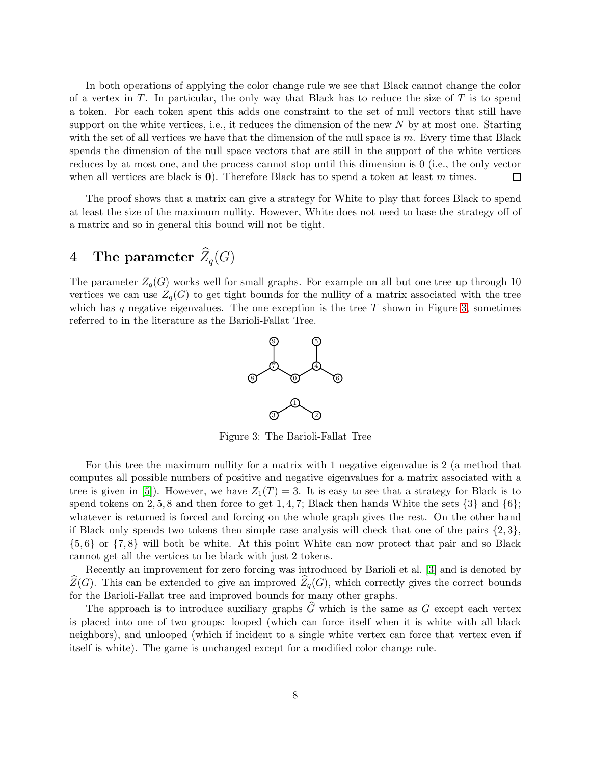In both operations of applying the color change rule we see that Black cannot change the color of a vertex in  $T$ . In particular, the only way that Black has to reduce the size of  $T$  is to spend a token. For each token spent this adds one constraint to the set of null vectors that still have support on the white vertices, i.e., it reduces the dimension of the new  $N$  by at most one. Starting with the set of all vertices we have that the dimension of the null space is  $m$ . Every time that Black spends the dimension of the null space vectors that are still in the support of the white vertices reduces by at most one, and the process cannot stop until this dimension is 0 (i.e., the only vector when all vertices are black is  $\mathbf{0}$ . Therefore Black has to spend a token at least m times. 囗

The proof shows that a matrix can give a strategy for White to play that forces Black to spend at least the size of the maximum nullity. However, White does not need to base the strategy off of a matrix and so in general this bound will not be tight.

# <span id="page-7-0"></span>4 The parameter  $\widehat{Z}_q(G)$

<span id="page-7-1"></span>The parameter  $Z_q(G)$  works well for small graphs. For example on all but one tree up through 10 vertices we can use  $Z_q(G)$  to get tight bounds for the nullity of a matrix associated with the tree which has q negative eigenvalues. The one exception is the tree  $T$  shown in Figure [3,](#page-7-1) sometimes referred to in the literature as the Barioli-Fallat Tree.



Figure 3: The Barioli-Fallat Tree

For this tree the maximum nullity for a matrix with 1 negative eigenvalue is 2 (a method that computes all possible numbers of positive and negative eigenvalues for a matrix associated with a tree is given in [\[5\]](#page-15-5)). However, we have  $Z_1(T) = 3$ . It is easy to see that a strategy for Black is to spend tokens on 2, 5, 8 and then force to get 1, 4, 7; Black then hands White the sets  $\{3\}$  and  $\{6\}$ ; whatever is returned is forced and forcing on the whole graph gives the rest. On the other hand if Black only spends two tokens then simple case analysis will check that one of the pairs  $\{2,3\}$ , {5, 6} or {7, 8} will both be white. At this point White can now protect that pair and so Black cannot get all the vertices to be black with just 2 tokens.

Recently an improvement for zero forcing was introduced by Barioli et al. [\[3\]](#page-15-6) and is denoted by  $\widehat{Z}(G)$ . This can be extended to give an improved  $\widehat{Z}_q(G)$ , which correctly gives the correct bounds for the Barioli-Fallat tree and improved bounds for many other graphs.

The approach is to introduce auxiliary graphs  $\hat{G}$  which is the same as G except each vertex is placed into one of two groups: looped (which can force itself when it is white with all black neighbors), and unlooped (which if incident to a single white vertex can force that vertex even if itself is white). The game is unchanged except for a modified color change rule.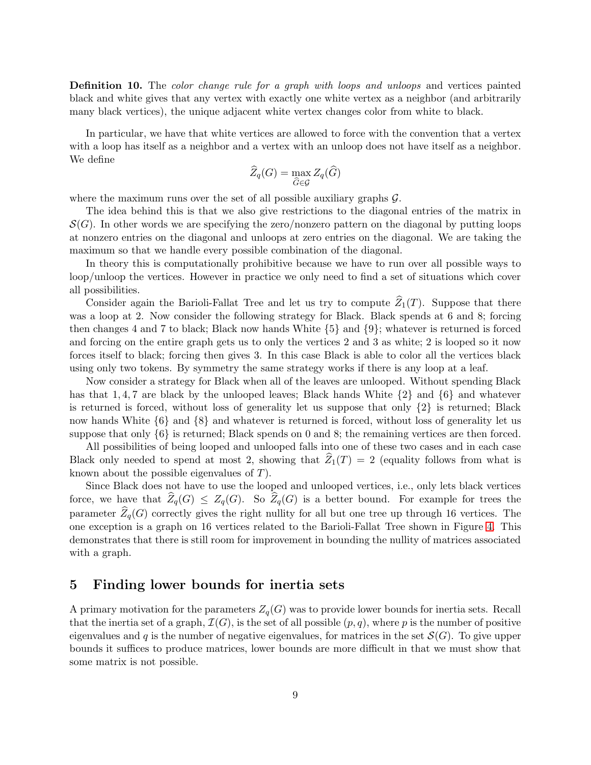**Definition 10.** The *color change rule for a graph with loops and unloops* and vertices painted black and white gives that any vertex with exactly one white vertex as a neighbor (and arbitrarily many black vertices), the unique adjacent white vertex changes color from white to black.

In particular, we have that white vertices are allowed to force with the convention that a vertex with a loop has itself as a neighbor and a vertex with an unloop does not have itself as a neighbor. We define

$$
\widehat{Z}_q(G) = \max_{\widehat{G} \in \mathcal{G}} Z_q(\widehat{G})
$$

where the maximum runs over the set of all possible auxiliary graphs  $\mathcal{G}$ .

The idea behind this is that we also give restrictions to the diagonal entries of the matrix in  $\mathcal{S}(G)$ . In other words we are specifying the zero/nonzero pattern on the diagonal by putting loops at nonzero entries on the diagonal and unloops at zero entries on the diagonal. We are taking the maximum so that we handle every possible combination of the diagonal.

In theory this is computationally prohibitive because we have to run over all possible ways to loop/unloop the vertices. However in practice we only need to find a set of situations which cover all possibilities.

Consider again the Barioli-Fallat Tree and let us try to compute  $\widehat{Z}_1(T)$ . Suppose that there was a loop at 2. Now consider the following strategy for Black. Black spends at 6 and 8; forcing then changes 4 and 7 to black; Black now hands White {5} and {9}; whatever is returned is forced and forcing on the entire graph gets us to only the vertices 2 and 3 as white; 2 is looped so it now forces itself to black; forcing then gives 3. In this case Black is able to color all the vertices black using only two tokens. By symmetry the same strategy works if there is any loop at a leaf.

Now consider a strategy for Black when all of the leaves are unlooped. Without spending Black has that 1, 4, 7 are black by the unlooped leaves; Black hands White  $\{2\}$  and  $\{6\}$  and whatever is returned is forced, without loss of generality let us suppose that only  $\{2\}$  is returned; Black now hands White {6} and {8} and whatever is returned is forced, without loss of generality let us suppose that only {6} is returned; Black spends on 0 and 8; the remaining vertices are then forced.

All possibilities of being looped and unlooped falls into one of these two cases and in each case Black only needed to spend at most 2, showing that  $Z_1(T) = 2$  (equality follows from what is known about the possible eigenvalues of T).

Since Black does not have to use the looped and unlooped vertices, i.e., only lets black vertices force, we have that  $\widehat{Z}_q(G) \leq Z_q(G)$ . So  $\widehat{Z}_q(G)$  is a better bound. For example for trees the parameter  $Z_q(G)$  correctly gives the right nullity for all but one tree up through 16 vertices. The one exception is a graph on 16 vertices related to the Barioli-Fallat Tree shown in Figure [4.](#page-9-1) This demonstrates that there is still room for improvement in bounding the nullity of matrices associated with a graph.

### <span id="page-8-0"></span>5 Finding lower bounds for inertia sets

A primary motivation for the parameters  $Z_q(G)$  was to provide lower bounds for inertia sets. Recall that the inertia set of a graph,  $\mathcal{I}(G)$ , is the set of all possible  $(p, q)$ , where p is the number of positive eigenvalues and q is the number of negative eigenvalues, for matrices in the set  $\mathcal{S}(G)$ . To give upper bounds it suffices to produce matrices, lower bounds are more difficult in that we must show that some matrix is not possible.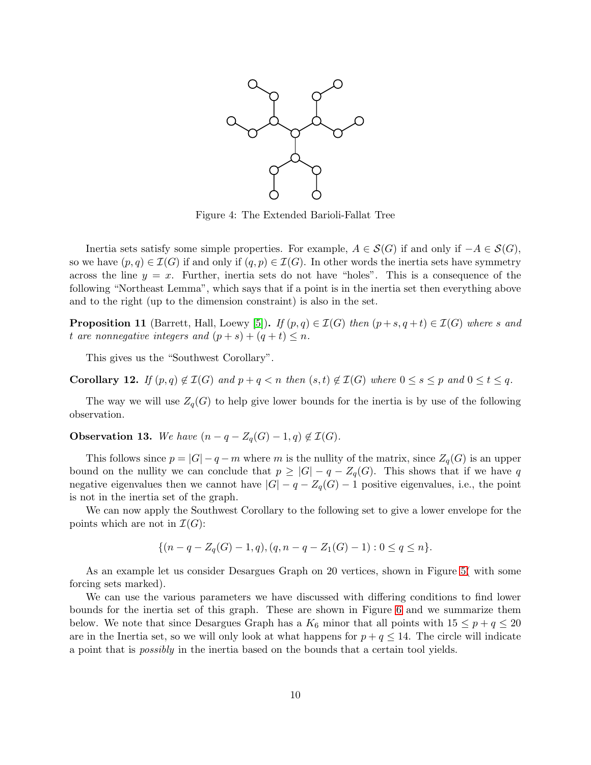<span id="page-9-1"></span>

Figure 4: The Extended Barioli-Fallat Tree

Inertia sets satisfy some simple properties. For example,  $A \in S(G)$  if and only if  $-A \in S(G)$ , so we have  $(p, q) \in \mathcal{I}(G)$  if and only if  $(q, p) \in \mathcal{I}(G)$ . In other words the inertia sets have symmetry across the line  $y = x$ . Further, inertia sets do not have "holes". This is a consequence of the following "Northeast Lemma", which says that if a point is in the inertia set then everything above and to the right (up to the dimension constraint) is also in the set.

**Proposition 11** (Barrett, Hall, Loewy [\[5\]](#page-15-5)). If  $(p, q) \in \mathcal{I}(G)$  then  $(p+s, q+t) \in \mathcal{I}(G)$  where s and t are nonnegative integers and  $(p + s) + (q + t) \leq n$ .

This gives us the "Southwest Corollary".

Corollary 12. If  $(p,q) \notin \mathcal{I}(G)$  and  $p+q < n$  then  $(s,t) \notin \mathcal{I}(G)$  where  $0 \leq s \leq p$  and  $0 \leq t \leq q$ .

The way we will use  $Z_q(G)$  to help give lower bounds for the inertia is by use of the following observation.

<span id="page-9-0"></span>**Observation 13.** We have  $(n - q - Z_q(G) - 1, q) \notin \mathcal{I}(G)$ .

This follows since  $p = |G| - q - m$  where m is the nullity of the matrix, since  $Z_q(G)$  is an upper bound on the nullity we can conclude that  $p \geq |G| - q - Z_q(G)$ . This shows that if we have q negative eigenvalues then we cannot have  $|G| - q - Z_q(G) - 1$  positive eigenvalues, i.e., the point is not in the inertia set of the graph.

We can now apply the Southwest Corollary to the following set to give a lower envelope for the points which are not in  $\mathcal{I}(G)$ :

$$
\{(n-q-Z_q(G)-1,q), (q,n-q-Z_1(G)-1): 0 \le q \le n\}.
$$

As an example let us consider Desargues Graph on 20 vertices, shown in Figure [5\(](#page-10-0) with some forcing sets marked).

We can use the various parameters we have discussed with differing conditions to find lower bounds for the inertia set of this graph. These are shown in Figure [6](#page-11-0) and we summarize them below. We note that since Desargues Graph has a  $K_6$  minor that all points with  $15 \leq p + q \leq 20$ are in the Inertia set, so we will only look at what happens for  $p + q \le 14$ . The circle will indicate a point that is possibly in the inertia based on the bounds that a certain tool yields.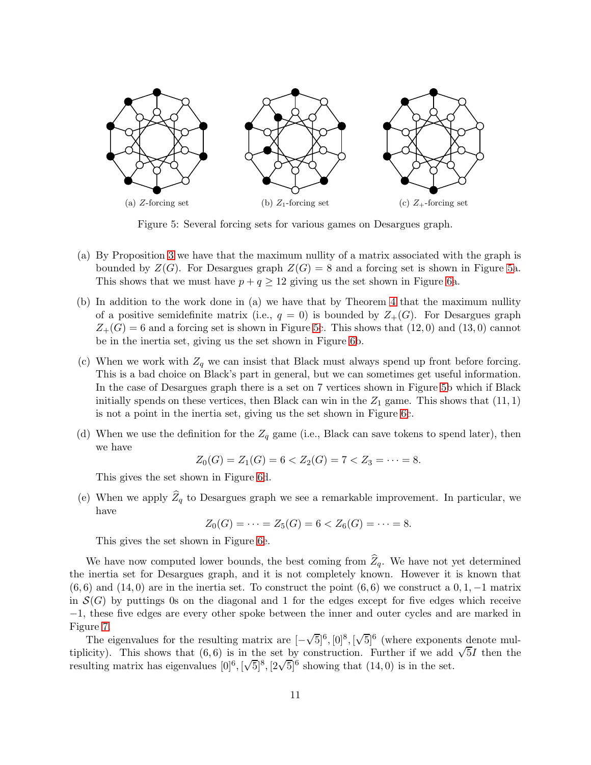<span id="page-10-0"></span>

Figure 5: Several forcing sets for various games on Desargues graph.

- (a) By Proposition [3](#page-2-0) we have that the maximum nullity of a matrix associated with the graph is bounded by  $Z(G)$ . For Desargues graph  $Z(G) = 8$  and a forcing set is shown in Figure [5a](#page-10-0). This shows that we must have  $p + q \ge 12$  giving us the set shown in Figure [6a](#page-11-0).
- (b) In addition to the work done in (a) we have that by Theorem [4](#page-3-1) that the maximum nullity of a positive semidefinite matrix (i.e.,  $q = 0$ ) is bounded by  $Z_{+}(G)$ . For Desargues graph  $Z_{+}(G) = 6$  and a forcing set is shown in Figure [5c](#page-10-0). This shows that  $(12,0)$  and  $(13,0)$  cannot be in the inertia set, giving us the set shown in Figure [6b](#page-11-0).
- (c) When we work with  $Z_q$  we can insist that Black must always spend up front before forcing. This is a bad choice on Black's part in general, but we can sometimes get useful information. In the case of Desargues graph there is a set on 7 vertices shown in Figure [5b](#page-10-0) which if Black initially spends on these vertices, then Black can win in the  $Z_1$  game. This shows that  $(11, 1)$ is not a point in the inertia set, giving us the set shown in Figure [6c](#page-11-0).
- (d) When we use the definition for the  $Z_q$  game (i.e., Black can save tokens to spend later), then we have

$$
Z_0(G) = Z_1(G) = 6 < Z_2(G) = 7 < Z_3 = \cdots = 8.
$$

This gives the set shown in Figure [6d](#page-11-0).

(e) When we apply  $\widehat{Z}_q$  to Desargues graph we see a remarkable improvement. In particular, we have

$$
Z_0(G) = \cdots = Z_5(G) = 6 < Z_6(G) = \cdots = 8.
$$

This gives the set shown in Figure [6e](#page-11-0).

We have now computed lower bounds, the best coming from  $Z_q$ . We have not yet determined the inertia set for Desargues graph, and it is not completely known. However it is known that  $(6, 6)$  and  $(14, 0)$  are in the inertia set. To construct the point  $(6, 6)$  we construct a  $0, 1, -1$  matrix in  $\mathcal{S}(G)$  by puttings 0s on the diagonal and 1 for the edges except for five edges which receive −1, these five edges are every other spoke between the inner and outer cycles and are marked in Figure [7.](#page-12-1)

The eigenvalues for the resulting matrix are  $[-\sqrt{5}]^6$ ,  $[0]^8$ ,  $[\sqrt{5}]^6$  (where exponents denote multiplicity). This shows that  $(6, 6)$  is in the set by construction. Further if we add  $\sqrt{5}I$  then the resulting matrix has eigenvalues  $[0]^6$ ,  $[\sqrt{5}]^8$ ,  $[2\sqrt{5}]^6$  showing that  $(14, 0)$  is in the set.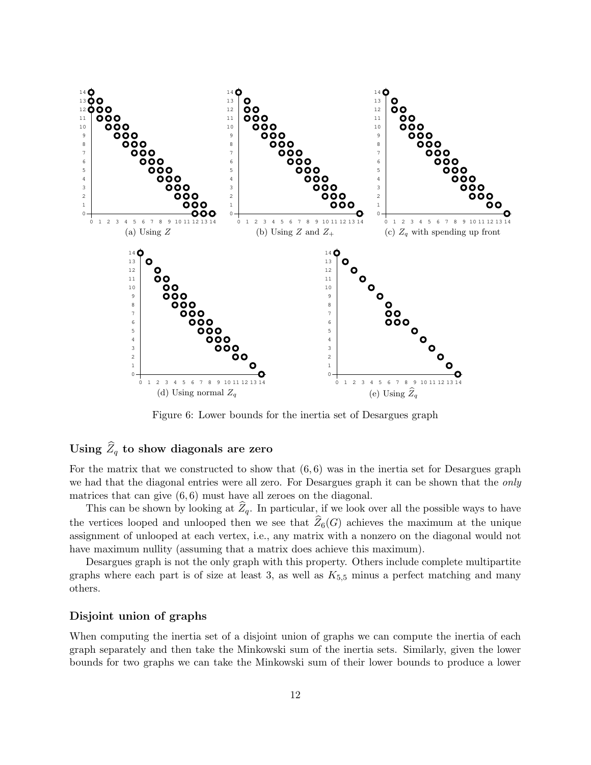<span id="page-11-0"></span>

Figure 6: Lower bounds for the inertia set of Desargues graph

## Using  $\widehat{Z}_q$  to show diagonals are zero

For the matrix that we constructed to show that  $(6, 6)$  was in the inertia set for Desargues graph we had that the diagonal entries were all zero. For Desargues graph it can be shown that the only matrices that can give  $(6, 6)$  must have all zeroes on the diagonal.

This can be shown by looking at  $\widehat{Z}_q$ . In particular, if we look over all the possible ways to have the vertices looped and unlooped then we see that  $\widehat{Z}_6(G)$  achieves the maximum at the unique assignment of unlooped at each vertex, i.e., any matrix with a nonzero on the diagonal would not have maximum nullity (assuming that a matrix does achieve this maximum).

Desargues graph is not the only graph with this property. Others include complete multipartite graphs where each part is of size at least 3, as well as  $K_{5,5}$  minus a perfect matching and many others.

#### Disjoint union of graphs

When computing the inertia set of a disjoint union of graphs we can compute the inertia of each graph separately and then take the Minkowski sum of the inertia sets. Similarly, given the lower bounds for two graphs we can take the Minkowski sum of their lower bounds to produce a lower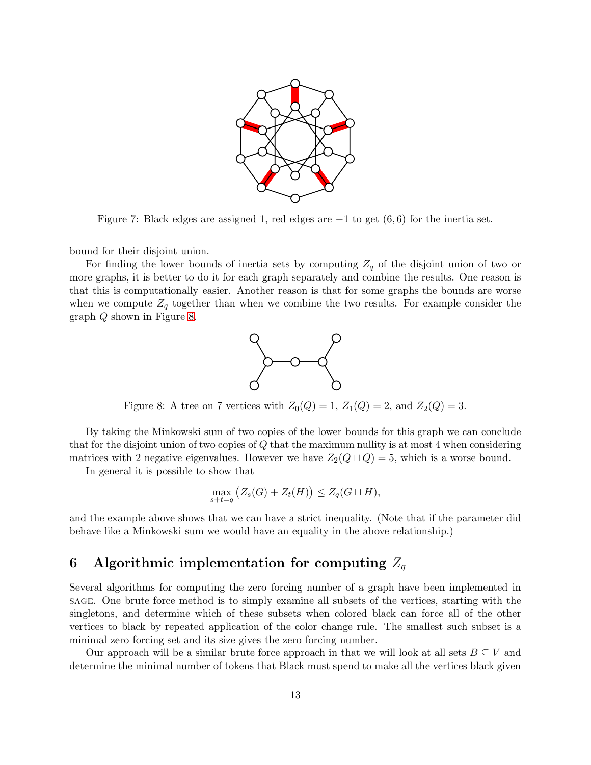

<span id="page-12-1"></span>Figure 7: Black edges are assigned 1, red edges are  $-1$  to get  $(6,6)$  for the inertia set.

bound for their disjoint union.

<span id="page-12-2"></span>For finding the lower bounds of inertia sets by computing  $Z_q$  of the disjoint union of two or more graphs, it is better to do it for each graph separately and combine the results. One reason is that this is computationally easier. Another reason is that for some graphs the bounds are worse when we compute  $Z_q$  together than when we combine the two results. For example consider the graph Q shown in Figure [8.](#page-12-2)



Figure 8: A tree on 7 vertices with  $Z_0(Q) = 1$ ,  $Z_1(Q) = 2$ , and  $Z_2(Q) = 3$ .

By taking the Minkowski sum of two copies of the lower bounds for this graph we can conclude that for the disjoint union of two copies of Q that the maximum nullity is at most 4 when considering matrices with 2 negative eigenvalues. However we have  $Z_2(Q \sqcup Q) = 5$ , which is a worse bound.

In general it is possible to show that

$$
\max_{s+t=q} (Z_s(G) + Z_t(H)) \le Z_q(G \sqcup H),
$$

and the example above shows that we can have a strict inequality. (Note that if the parameter did behave like a Minkowski sum we would have an equality in the above relationship.)

# <span id="page-12-0"></span>6 Algorithmic implementation for computing  $Z_q$

Several algorithms for computing the zero forcing number of a graph have been implemented in sage. One brute force method is to simply examine all subsets of the vertices, starting with the singletons, and determine which of these subsets when colored black can force all of the other vertices to black by repeated application of the color change rule. The smallest such subset is a minimal zero forcing set and its size gives the zero forcing number.

Our approach will be a similar brute force approach in that we will look at all sets  $B \subseteq V$  and determine the minimal number of tokens that Black must spend to make all the vertices black given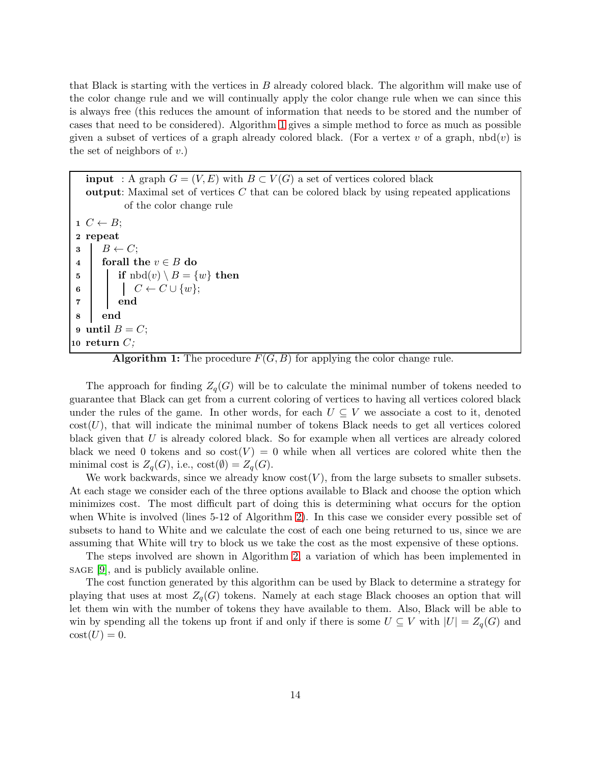that Black is starting with the vertices in B already colored black. The algorithm will make use of the color change rule and we will continually apply the color change rule when we can since this is always free (this reduces the amount of information that needs to be stored and the number of cases that need to be considered). Algorithm [1](#page-13-0) gives a simple method to force as much as possible given a subset of vertices of a graph already colored black. (For a vertex v of a graph,  $\text{nbd}(v)$  is the set of neighbors of  $v$ .)

**input** : A graph  $G = (V, E)$  with  $B \subset V(G)$  a set of vertices colored black output: Maximal set of vertices  $C$  that can be colored black by using repeated applications of the color change rule  $1 \ C \leftarrow B;$ 2 repeat  $\begin{array}{c|c} \textbf{3} & B \leftarrow C; \\ \textbf{4} & \textbf{for all } \textbf{t} \end{array}$ 4 forall the  $v \in B$  do<br>5 if  $\text{nbd}(v) \setminus B = \{$  $\begin{array}{|c|c|} \hline \texttt{5} & \texttt{if } \text{nbd}(v)\setminus B=\{w\} \textbf{ then} \end{array}$ 6  $\begin{array}{|c|c|c|c|c|}\n\hline\n6 & 0 & C \leftarrow C \cup \{w\};\n\end{array}$ 7 end 8 end 9 until  $B = C$ ; 10 return  $C$ ;

<span id="page-13-0"></span>**Algorithm 1:** The procedure  $F(G, B)$  for applying the color change rule.

The approach for finding  $Z_q(G)$  will be to calculate the minimal number of tokens needed to guarantee that Black can get from a current coloring of vertices to having all vertices colored black under the rules of the game. In other words, for each  $U \subseteq V$  we associate a cost to it, denoted  $cost(U)$ , that will indicate the minimal number of tokens Black needs to get all vertices colored black given that  $U$  is already colored black. So for example when all vertices are already colored black we need 0 tokens and so  $cost(V) = 0$  while when all vertices are colored white then the minimal cost is  $Z_q(G)$ , i.e.,  $cost(\emptyset) = Z_q(G)$ .

We work backwards, since we already know  $cost(V)$ , from the large subsets to smaller subsets. At each stage we consider each of the three options available to Black and choose the option which minimizes cost. The most difficult part of doing this is determining what occurs for the option when White is involved (lines 5-12 of Algorithm [2\)](#page-14-0). In this case we consider every possible set of subsets to hand to White and we calculate the cost of each one being returned to us, since we are assuming that White will try to block us we take the cost as the most expensive of these options.

The steps involved are shown in Algorithm [2,](#page-14-0) a variation of which has been implemented in sage [\[9\]](#page-15-7), and is publicly available online.

The cost function generated by this algorithm can be used by Black to determine a strategy for playing that uses at most  $Z_q(G)$  tokens. Namely at each stage Black chooses an option that will let them win with the number of tokens they have available to them. Also, Black will be able to win by spending all the tokens up front if and only if there is some  $U \subseteq V$  with  $|U| = Z_q(G)$  and  $\mathrm{cost}(U) = 0.$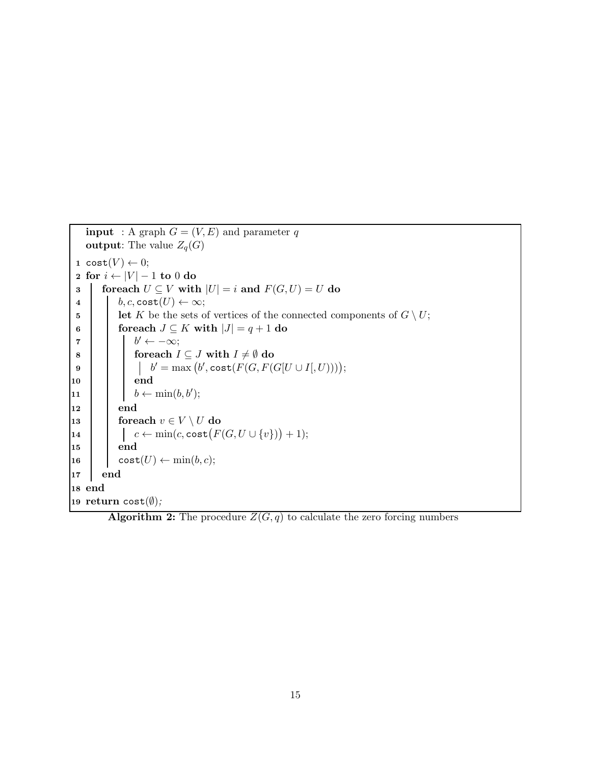```
input : A graph G = (V, E) and parameter q
     output: The value Z_q(G)1 cost(V) \leftarrow 0;2 for i \leftarrow |V| - 1 to 0 do<br>3 | foreach U \subseteq V with
 3 foreach U \subseteq V with |U| = i and F(G, U) = U do<br>4 \Big| b, c, \text{cost}(U) \leftarrow \infty;b, c, \texttt{cost}(U) \leftarrow \infty;5 let K be the sets of vertices of the connected components of G \setminus U;<br>
6 connected components of G \setminus U;
 6 for each J \subseteq K with |J| = q + 1 do |J| = q + 1\mathbf{z} b
                       b' \leftarrow -\infty;
 8 for each I \subseteq J with I \neq \emptyset do<br>
9 for each I \subseteq J with I \neq \emptyset do
  9 | | | | b
                               \mathcal{C}' = \max\big(b', \textnormal{\texttt{cost}}(F(G, F(G[U \cup I[, U))))\big);10 | | end
\begin{array}{|c|c|c|c|}\n\hline\n11 & b \leftarrow \min(b, b');\n\end{array}12 end
13 foreach v \in V \setminus U do<br>
14 c \leftarrow \min(c, \text{cost}(F))14 \begin{array}{|c|c|c|c|}\hline \rule{0pt}{12pt} & \quad & c \leftarrow \min(c,\texttt{cost}\big(F(G, U \cup \{v\})\big) + 1); \ \hline \end{array}15 end
16 \vert \quad \vert \quad \text{cost}(U) \leftarrow \min(b, c);17 end
18 end
19 return cost(\emptyset);
```
<span id="page-14-0"></span>**Algorithm 2:** The procedure  $Z(G, q)$  to calculate the zero forcing numbers